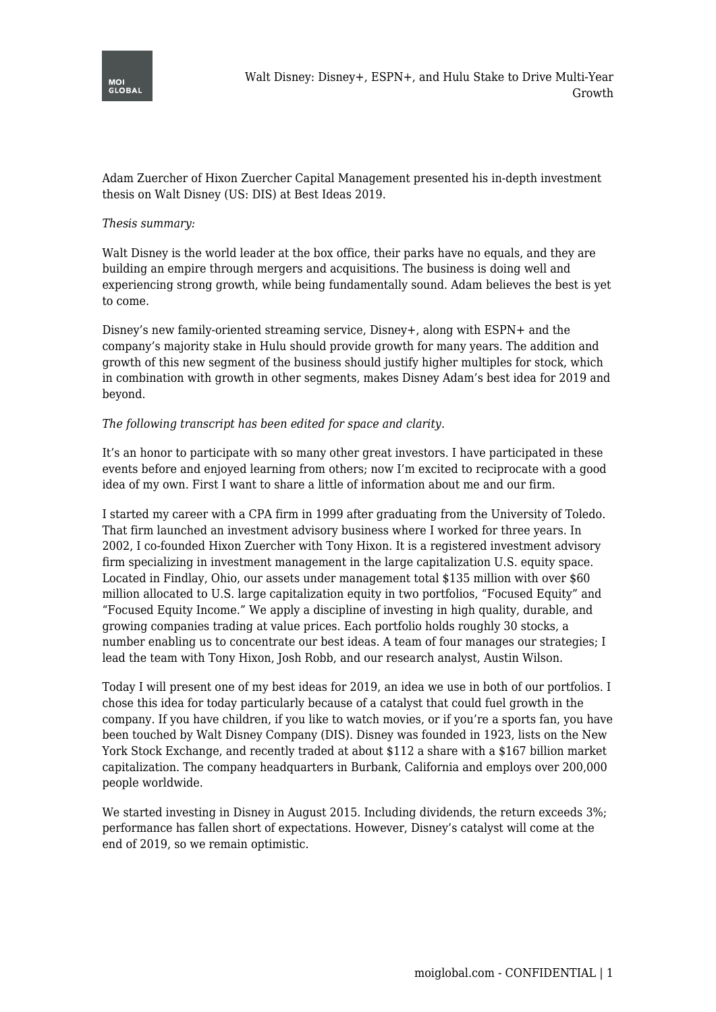

Adam Zuercher of Hixon Zuercher Capital Management presented his in-depth investment thesis on Walt Disney (US: DIS) at Best Ideas 2019.

#### *Thesis summary:*

Walt Disney is the world leader at the box office, their parks have no equals, and they are building an empire through mergers and acquisitions. The business is doing well and experiencing strong growth, while being fundamentally sound. Adam believes the best is yet to come.

Disney's new family-oriented streaming service, Disney+, along with ESPN+ and the company's majority stake in Hulu should provide growth for many years. The addition and growth of this new segment of the business should justify higher multiples for stock, which in combination with growth in other segments, makes Disney Adam's best idea for 2019 and beyond.

#### *The following transcript has been edited for space and clarity.*

It's an honor to participate with so many other great investors. I have participated in these events before and enjoyed learning from others; now I'm excited to reciprocate with a good idea of my own. First I want to share a little of information about me and our firm.

I started my career with a CPA firm in 1999 after graduating from the University of Toledo. That firm launched an investment advisory business where I worked for three years. In 2002, I co-founded Hixon Zuercher with Tony Hixon. It is a registered investment advisory firm specializing in investment management in the large capitalization U.S. equity space. Located in Findlay, Ohio, our assets under management total \$135 million with over \$60 million allocated to U.S. large capitalization equity in two portfolios, "Focused Equity" and "Focused Equity Income." We apply a discipline of investing in high quality, durable, and growing companies trading at value prices. Each portfolio holds roughly 30 stocks, a number enabling us to concentrate our best ideas. A team of four manages our strategies; I lead the team with Tony Hixon, Josh Robb, and our research analyst, Austin Wilson.

Today I will present one of my best ideas for 2019, an idea we use in both of our portfolios. I chose this idea for today particularly because of a catalyst that could fuel growth in the company. If you have children, if you like to watch movies, or if you're a sports fan, you have been touched by Walt Disney Company (DIS). Disney was founded in 1923, lists on the New York Stock Exchange, and recently traded at about \$112 a share with a \$167 billion market capitalization. The company headquarters in Burbank, California and employs over 200,000 people worldwide.

We started investing in Disney in August 2015. Including dividends, the return exceeds 3%; performance has fallen short of expectations. However, Disney's catalyst will come at the end of 2019, so we remain optimistic.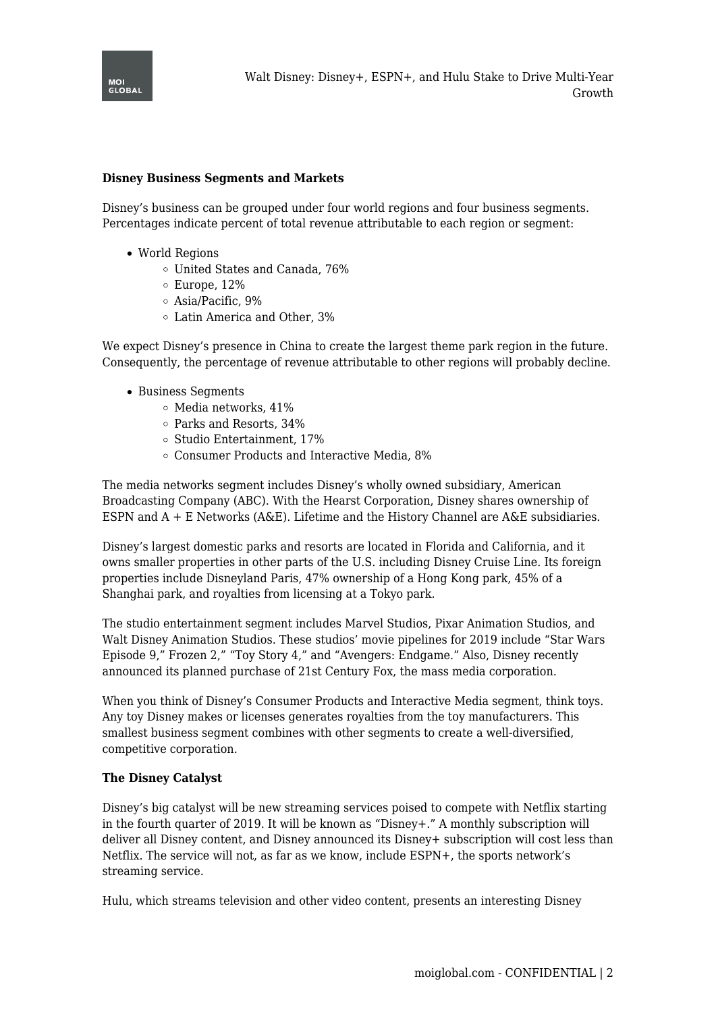

### **Disney Business Segments and Markets**

Disney's business can be grouped under four world regions and four business segments. Percentages indicate percent of total revenue attributable to each region or segment:

- World Regions
	- United States and Canada, 76%
	- Europe, 12%
	- Asia/Pacific, 9%
	- Latin America and Other, 3%

We expect Disney's presence in China to create the largest theme park region in the future. Consequently, the percentage of revenue attributable to other regions will probably decline.

- Business Segments
	- Media networks, 41%
	- Parks and Resorts, 34%
	- $\circ$  Studio Entertainment, 17%
	- Consumer Products and Interactive Media, 8%

The media networks segment includes Disney's wholly owned subsidiary, American Broadcasting Company (ABC). With the Hearst Corporation, Disney shares ownership of ESPN and A + E Networks (A&E). Lifetime and the History Channel are A&E subsidiaries.

Disney's largest domestic parks and resorts are located in Florida and California, and it owns smaller properties in other parts of the U.S. including Disney Cruise Line. Its foreign properties include Disneyland Paris, 47% ownership of a Hong Kong park, 45% of a Shanghai park, and royalties from licensing at a Tokyo park.

The studio entertainment segment includes Marvel Studios, Pixar Animation Studios, and Walt Disney Animation Studios. These studios' movie pipelines for 2019 include "Star Wars Episode 9," Frozen 2," "Toy Story 4," and "Avengers: Endgame." Also, Disney recently announced its planned purchase of 21st Century Fox, the mass media corporation.

When you think of Disney's Consumer Products and Interactive Media segment, think toys. Any toy Disney makes or licenses generates royalties from the toy manufacturers. This smallest business segment combines with other segments to create a well-diversified, competitive corporation.

#### **The Disney Catalyst**

Disney's big catalyst will be new streaming services poised to compete with Netflix starting in the fourth quarter of 2019. It will be known as "Disney+." A monthly subscription will deliver all Disney content, and Disney announced its Disney+ subscription will cost less than Netflix. The service will not, as far as we know, include ESPN+, the sports network's streaming service.

Hulu, which streams television and other video content, presents an interesting Disney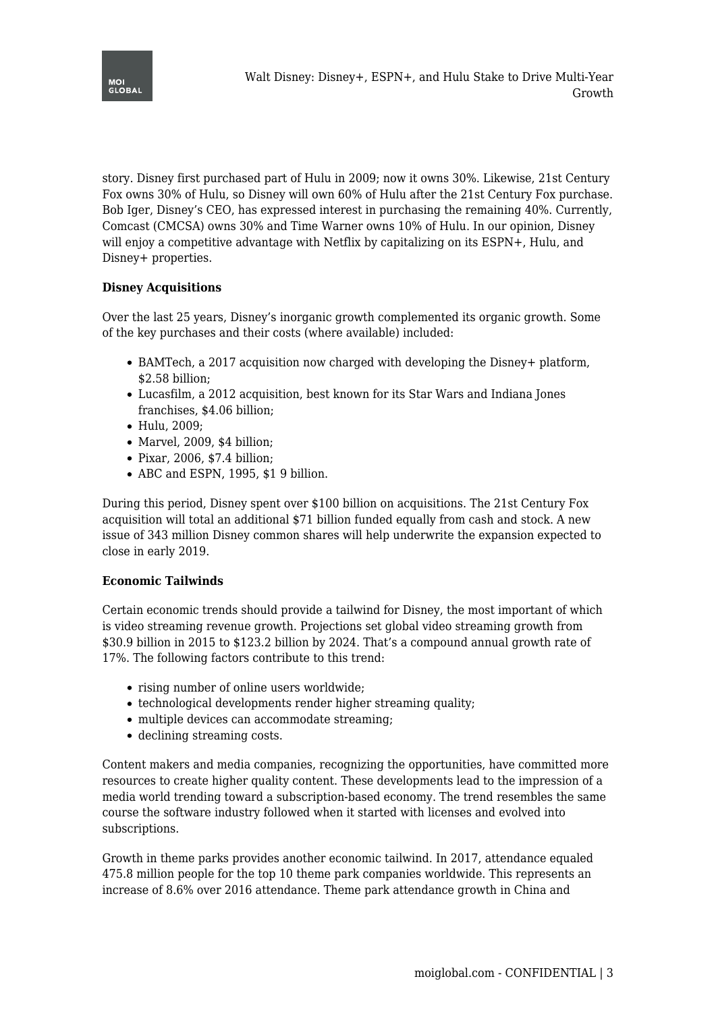

story. Disney first purchased part of Hulu in 2009; now it owns 30%. Likewise, 21st Century Fox owns 30% of Hulu, so Disney will own 60% of Hulu after the 21st Century Fox purchase. Bob Iger, Disney's CEO, has expressed interest in purchasing the remaining 40%. Currently, Comcast (CMCSA) owns 30% and Time Warner owns 10% of Hulu. In our opinion, Disney will enjoy a competitive advantage with Netflix by capitalizing on its ESPN+, Hulu, and Disney+ properties.

# **Disney Acquisitions**

Over the last 25 years, Disney's inorganic growth complemented its organic growth. Some of the key purchases and their costs (where available) included:

- BAMTech, a 2017 acquisition now charged with developing the Disney+ platform, \$2.58 billion;
- Lucasfilm, a 2012 acquisition, best known for its Star Wars and Indiana Jones franchises, \$4.06 billion;
- Hulu, 2009;
- Marvel, 2009, \$4 billion;
- Pixar, 2006, \$7.4 billion;
- ABC and ESPN, 1995, \$1 9 billion.

During this period, Disney spent over \$100 billion on acquisitions. The 21st Century Fox acquisition will total an additional \$71 billion funded equally from cash and stock. A new issue of 343 million Disney common shares will help underwrite the expansion expected to close in early 2019.

## **Economic Tailwinds**

Certain economic trends should provide a tailwind for Disney, the most important of which is video streaming revenue growth. Projections set global video streaming growth from \$30.9 billion in 2015 to \$123.2 billion by 2024. That's a compound annual growth rate of 17%. The following factors contribute to this trend:

- rising number of online users worldwide;
- technological developments render higher streaming quality;
- multiple devices can accommodate streaming;
- declining streaming costs.

Content makers and media companies, recognizing the opportunities, have committed more resources to create higher quality content. These developments lead to the impression of a media world trending toward a subscription-based economy. The trend resembles the same course the software industry followed when it started with licenses and evolved into subscriptions.

Growth in theme parks provides another economic tailwind. In 2017, attendance equaled 475.8 million people for the top 10 theme park companies worldwide. This represents an increase of 8.6% over 2016 attendance. Theme park attendance growth in China and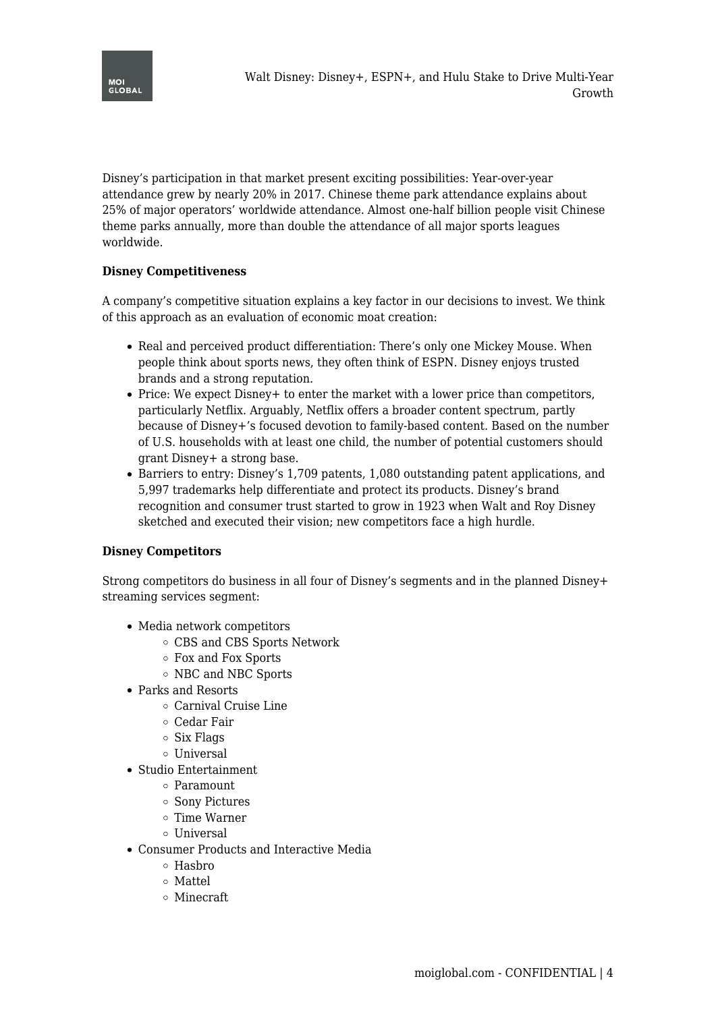

Disney's participation in that market present exciting possibilities: Year-over-year attendance grew by nearly 20% in 2017. Chinese theme park attendance explains about 25% of major operators' worldwide attendance. Almost one-half billion people visit Chinese theme parks annually, more than double the attendance of all major sports leagues worldwide.

# **Disney Competitiveness**

A company's competitive situation explains a key factor in our decisions to invest. We think of this approach as an evaluation of economic moat creation:

- Real and perceived product differentiation: There's only one Mickey Mouse. When people think about sports news, they often think of ESPN. Disney enjoys trusted brands and a strong reputation.
- Price: We expect Disney + to enter the market with a lower price than competitors, particularly Netflix. Arguably, Netflix offers a broader content spectrum, partly because of Disney+'s focused devotion to family-based content. Based on the number of U.S. households with at least one child, the number of potential customers should grant Disney+ a strong base.
- Barriers to entry: Disney's 1,709 patents, 1,080 outstanding patent applications, and 5,997 trademarks help differentiate and protect its products. Disney's brand recognition and consumer trust started to grow in 1923 when Walt and Roy Disney sketched and executed their vision; new competitors face a high hurdle.

## **Disney Competitors**

Strong competitors do business in all four of Disney's segments and in the planned Disney+ streaming services segment:

- Media network competitors
	- CBS and CBS Sports Network
	- Fox and Fox Sports
	- o NBC and NBC Sports
- Parks and Resorts
	- Carnival Cruise Line
	- Cedar Fair
	- $\circ$  Six Flags
	- o Universal
- Studio Entertainment
	- Paramount
	- Sony Pictures
	- Time Warner
	- o Universal
- Consumer Products and Interactive Media
	- $\circ$  Hashro
	- Mattel
	- Minecraft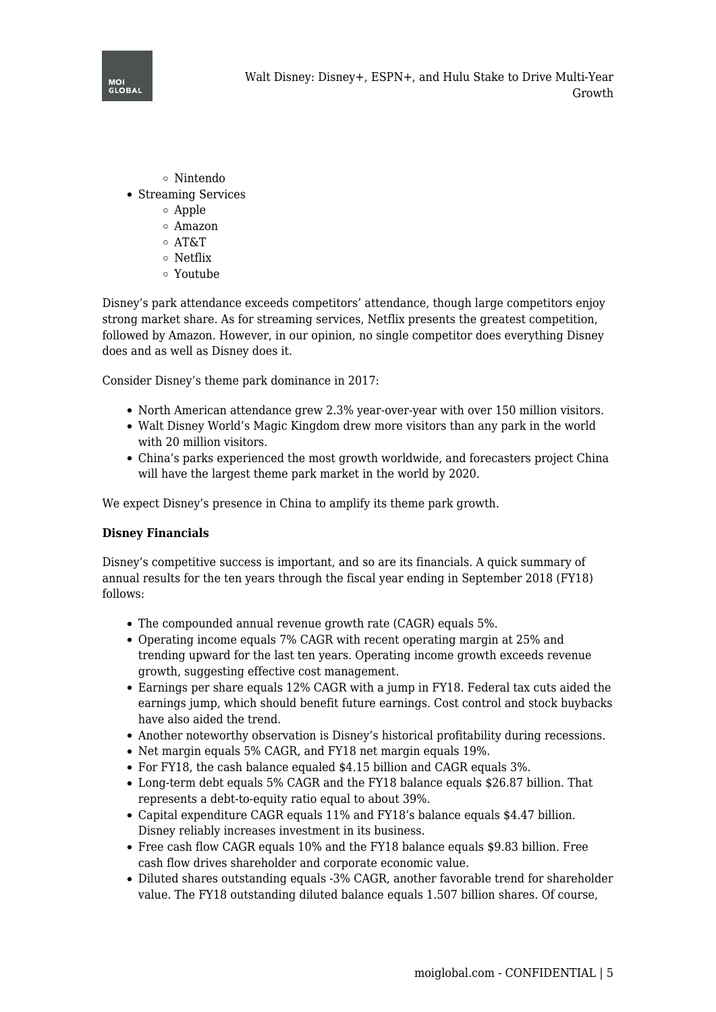

- Nintendo
- Streaming Services
	- Apple
	- Amazon
	- AT&T
	- Netflix
	- Youtube

Disney's park attendance exceeds competitors' attendance, though large competitors enjoy strong market share. As for streaming services, Netflix presents the greatest competition, followed by Amazon. However, in our opinion, no single competitor does everything Disney does and as well as Disney does it.

Consider Disney's theme park dominance in 2017:

- North American attendance grew 2.3% year-over-year with over 150 million visitors.
- Walt Disney World's Magic Kingdom drew more visitors than any park in the world with 20 million visitors.
- China's parks experienced the most growth worldwide, and forecasters project China will have the largest theme park market in the world by 2020.

We expect Disney's presence in China to amplify its theme park growth.

## **Disney Financials**

Disney's competitive success is important, and so are its financials. A quick summary of annual results for the ten years through the fiscal year ending in September 2018 (FY18) follows:

- The compounded annual revenue growth rate (CAGR) equals 5%.
- Operating income equals 7% CAGR with recent operating margin at 25% and trending upward for the last ten years. Operating income growth exceeds revenue growth, suggesting effective cost management.
- Earnings per share equals 12% CAGR with a jump in FY18. Federal tax cuts aided the earnings jump, which should benefit future earnings. Cost control and stock buybacks have also aided the trend.
- Another noteworthy observation is Disney's historical profitability during recessions.
- Net margin equals 5% CAGR, and FY18 net margin equals 19%.
- For FY18, the cash balance equaled \$4.15 billion and CAGR equals 3%.
- Long-term debt equals 5% CAGR and the FY18 balance equals \$26.87 billion. That represents a debt-to-equity ratio equal to about 39%.
- Capital expenditure CAGR equals 11% and FY18's balance equals \$4.47 billion. Disney reliably increases investment in its business.
- Free cash flow CAGR equals 10% and the FY18 balance equals \$9.83 billion. Free cash flow drives shareholder and corporate economic value.
- Diluted shares outstanding equals -3% CAGR, another favorable trend for shareholder value. The FY18 outstanding diluted balance equals 1.507 billion shares. Of course,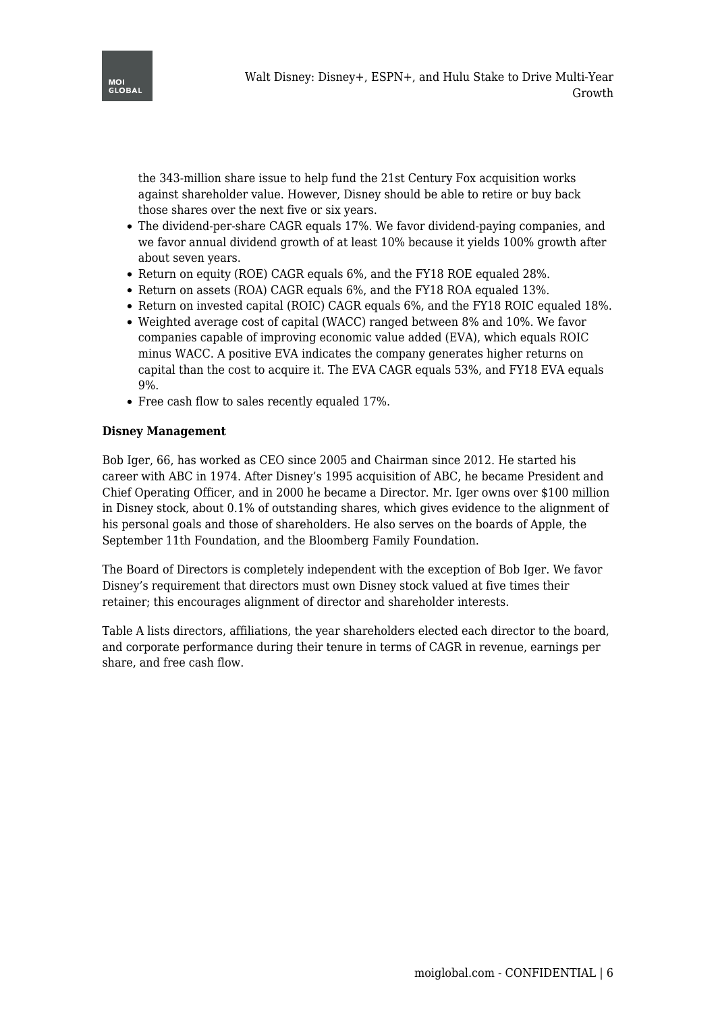

the 343-million share issue to help fund the 21st Century Fox acquisition works against shareholder value. However, Disney should be able to retire or buy back those shares over the next five or six years.

- The dividend-per-share CAGR equals 17%. We favor dividend-paying companies, and we favor annual dividend growth of at least 10% because it yields 100% growth after about seven years.
- Return on equity (ROE) CAGR equals 6%, and the FY18 ROE equaled 28%.
- Return on assets (ROA) CAGR equals 6%, and the FY18 ROA equaled 13%.
- Return on invested capital (ROIC) CAGR equals 6%, and the FY18 ROIC equaled 18%.
- Weighted average cost of capital (WACC) ranged between 8% and 10%. We favor companies capable of improving economic value added (EVA), which equals ROIC minus WACC. A positive EVA indicates the company generates higher returns on capital than the cost to acquire it. The EVA CAGR equals 53%, and FY18 EVA equals 9%.
- Free cash flow to sales recently equaled 17%.

#### **Disney Management**

Bob Iger, 66, has worked as CEO since 2005 and Chairman since 2012. He started his career with ABC in 1974. After Disney's 1995 acquisition of ABC, he became President and Chief Operating Officer, and in 2000 he became a Director. Mr. Iger owns over \$100 million in Disney stock, about 0.1% of outstanding shares, which gives evidence to the alignment of his personal goals and those of shareholders. He also serves on the boards of Apple, the September 11th Foundation, and the Bloomberg Family Foundation.

The Board of Directors is completely independent with the exception of Bob Iger. We favor Disney's requirement that directors must own Disney stock valued at five times their retainer; this encourages alignment of director and shareholder interests.

Table A lists directors, affiliations, the year shareholders elected each director to the board, and corporate performance during their tenure in terms of CAGR in revenue, earnings per share, and free cash flow.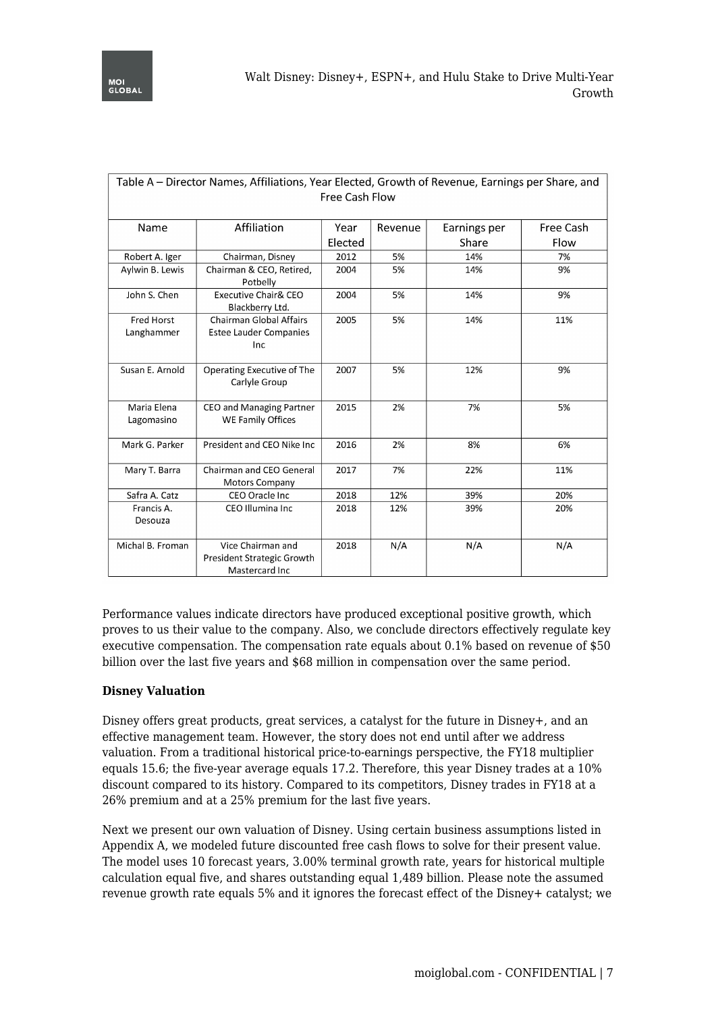| Table A – Director Names, Affiliations, Year Elected, Growth of Revenue, Earnings per Share, and<br>Free Cash Flow |                                                                   |                 |         |                       |                   |
|--------------------------------------------------------------------------------------------------------------------|-------------------------------------------------------------------|-----------------|---------|-----------------------|-------------------|
| Name                                                                                                               | Affiliation                                                       | Year<br>Elected | Revenue | Earnings per<br>Share | Free Cash<br>Flow |
| Robert A. Iger                                                                                                     | Chairman, Disney                                                  | 2012            | 5%      | 14%                   | 7%                |
| Aylwin B. Lewis                                                                                                    | Chairman & CEO, Retired,<br>Potbelly                              | 2004            | 5%      | 14%                   | 9%                |
| John S. Chen                                                                                                       | Executive Chair& CEO<br>Blackberry Ltd.                           | 2004            | 5%      | 14%                   | 9%                |
| Fred Horst<br>Langhammer                                                                                           | Chairman Global Affairs<br><b>Estee Lauder Companies</b><br>Inc   | 2005            | 5%      | 14%                   | 11%               |
| Susan E. Arnold                                                                                                    | Operating Executive of The<br>Carlyle Group                       | 2007            | 5%      | 12%                   | 9%                |
| Maria Elena<br>Lagomasino                                                                                          | CEO and Managing Partner<br><b>WE Family Offices</b>              | 2015            | 2%      | 7%                    | 5%                |
| Mark G. Parker                                                                                                     | President and CEO Nike Inc                                        | 2016            | 2%      | 8%                    | 6%                |
| Mary T. Barra                                                                                                      | Chairman and CEO General<br><b>Motors Company</b>                 | 2017            | 7%      | 22%                   | 11%               |
| Safra A. Catz                                                                                                      | CEO Oracle Inc.                                                   | 2018            | 12%     | 39%                   | 20%               |
| Francis A.<br>Desouza                                                                                              | CEO Illumina Inc                                                  | 2018            | 12%     | 39%                   | 20%               |
| Michal B. Froman                                                                                                   | Vice Chairman and<br>President Strategic Growth<br>Mastercard Inc | 2018            | N/A     | N/A                   | N/A               |

Performance values indicate directors have produced exceptional positive growth, which proves to us their value to the company. Also, we conclude directors effectively regulate key executive compensation. The compensation rate equals about 0.1% based on revenue of \$50 billion over the last five years and \$68 million in compensation over the same period.

## **Disney Valuation**

Disney offers great products, great services, a catalyst for the future in Disney+, and an effective management team. However, the story does not end until after we address valuation. From a traditional historical price-to-earnings perspective, the FY18 multiplier equals 15.6; the five-year average equals 17.2. Therefore, this year Disney trades at a 10% discount compared to its history. Compared to its competitors, Disney trades in FY18 at a 26% premium and at a 25% premium for the last five years.

Next we present our own valuation of Disney. Using certain business assumptions listed in Appendix A, we modeled future discounted free cash flows to solve for their present value. The model uses 10 forecast years, 3.00% terminal growth rate, years for historical multiple calculation equal five, and shares outstanding equal 1,489 billion. Please note the assumed revenue growth rate equals 5% and it ignores the forecast effect of the Disney+ catalyst; we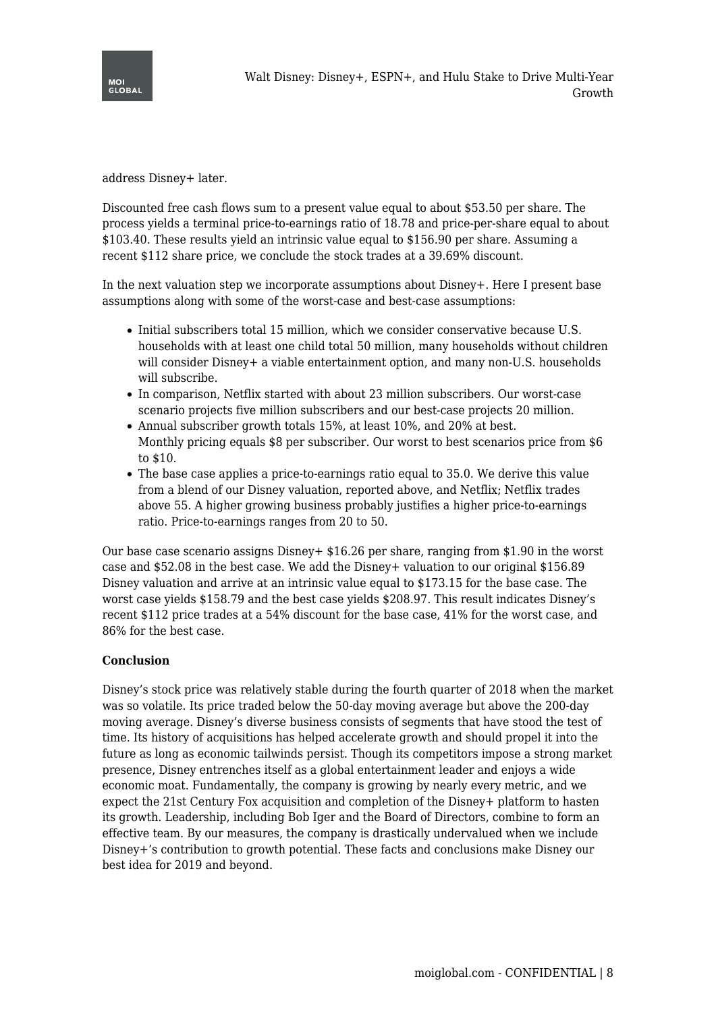

address Disney+ later.

Discounted free cash flows sum to a present value equal to about \$53.50 per share. The process yields a terminal price-to-earnings ratio of 18.78 and price-per-share equal to about \$103.40. These results yield an intrinsic value equal to \$156.90 per share. Assuming a recent \$112 share price, we conclude the stock trades at a 39.69% discount.

In the next valuation step we incorporate assumptions about Disney+. Here I present base assumptions along with some of the worst-case and best-case assumptions:

- Initial subscribers total 15 million, which we consider conservative because U.S. households with at least one child total 50 million, many households without children will consider Disney+ a viable entertainment option, and many non-U.S. households will subscribe.
- In comparison, Netflix started with about 23 million subscribers. Our worst-case scenario projects five million subscribers and our best-case projects 20 million.
- Annual subscriber growth totals 15%, at least 10%, and 20% at best. Monthly pricing equals \$8 per subscriber. Our worst to best scenarios price from \$6 to \$10.
- The base case applies a price-to-earnings ratio equal to 35.0. We derive this value from a blend of our Disney valuation, reported above, and Netflix; Netflix trades above 55. A higher growing business probably justifies a higher price-to-earnings ratio. Price-to-earnings ranges from 20 to 50.

Our base case scenario assigns Disney+ \$16.26 per share, ranging from \$1.90 in the worst case and \$52.08 in the best case. We add the Disney+ valuation to our original \$156.89 Disney valuation and arrive at an intrinsic value equal to \$173.15 for the base case. The worst case yields \$158.79 and the best case yields \$208.97. This result indicates Disney's recent \$112 price trades at a 54% discount for the base case, 41% for the worst case, and 86% for the best case.

## **Conclusion**

Disney's stock price was relatively stable during the fourth quarter of 2018 when the market was so volatile. Its price traded below the 50-day moving average but above the 200-day moving average. Disney's diverse business consists of segments that have stood the test of time. Its history of acquisitions has helped accelerate growth and should propel it into the future as long as economic tailwinds persist. Though its competitors impose a strong market presence, Disney entrenches itself as a global entertainment leader and enjoys a wide economic moat. Fundamentally, the company is growing by nearly every metric, and we expect the 21st Century Fox acquisition and completion of the Disney+ platform to hasten its growth. Leadership, including Bob Iger and the Board of Directors, combine to form an effective team. By our measures, the company is drastically undervalued when we include Disney+'s contribution to growth potential. These facts and conclusions make Disney our best idea for 2019 and beyond.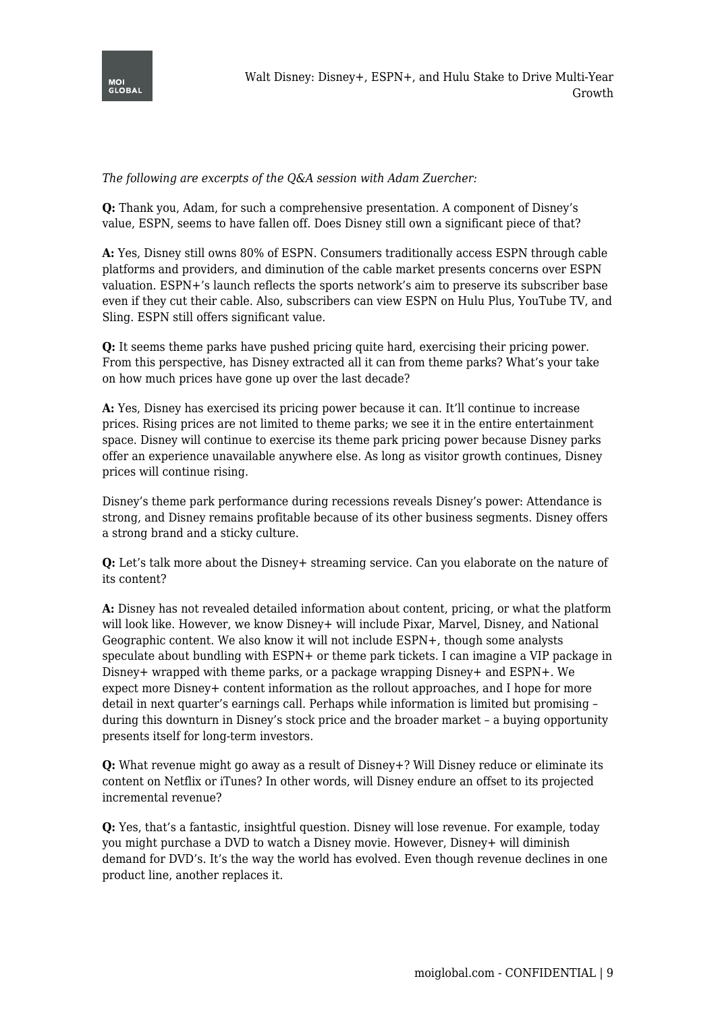

*The following are excerpts of the Q&A session with Adam Zuercher:*

**Q:** Thank you, Adam, for such a comprehensive presentation. A component of Disney's value, ESPN, seems to have fallen off. Does Disney still own a significant piece of that?

**A:** Yes, Disney still owns 80% of ESPN. Consumers traditionally access ESPN through cable platforms and providers, and diminution of the cable market presents concerns over ESPN valuation. ESPN+'s launch reflects the sports network's aim to preserve its subscriber base even if they cut their cable. Also, subscribers can view ESPN on Hulu Plus, YouTube TV, and Sling. ESPN still offers significant value.

**Q:** It seems theme parks have pushed pricing quite hard, exercising their pricing power. From this perspective, has Disney extracted all it can from theme parks? What's your take on how much prices have gone up over the last decade?

**A:** Yes, Disney has exercised its pricing power because it can. It'll continue to increase prices. Rising prices are not limited to theme parks; we see it in the entire entertainment space. Disney will continue to exercise its theme park pricing power because Disney parks offer an experience unavailable anywhere else. As long as visitor growth continues, Disney prices will continue rising.

Disney's theme park performance during recessions reveals Disney's power: Attendance is strong, and Disney remains profitable because of its other business segments. Disney offers a strong brand and a sticky culture.

**Q:** Let's talk more about the Disney+ streaming service. Can you elaborate on the nature of its content?

**A:** Disney has not revealed detailed information about content, pricing, or what the platform will look like. However, we know Disney+ will include Pixar, Marvel, Disney, and National Geographic content. We also know it will not include ESPN+, though some analysts speculate about bundling with ESPN+ or theme park tickets. I can imagine a VIP package in Disney+ wrapped with theme parks, or a package wrapping Disney+ and ESPN+. We expect more Disney+ content information as the rollout approaches, and I hope for more detail in next quarter's earnings call. Perhaps while information is limited but promising – during this downturn in Disney's stock price and the broader market – a buying opportunity presents itself for long-term investors.

**Q:** What revenue might go away as a result of Disney+? Will Disney reduce or eliminate its content on Netflix or iTunes? In other words, will Disney endure an offset to its projected incremental revenue?

**Q:** Yes, that's a fantastic, insightful question. Disney will lose revenue. For example, today you might purchase a DVD to watch a Disney movie. However, Disney+ will diminish demand for DVD's. It's the way the world has evolved. Even though revenue declines in one product line, another replaces it.